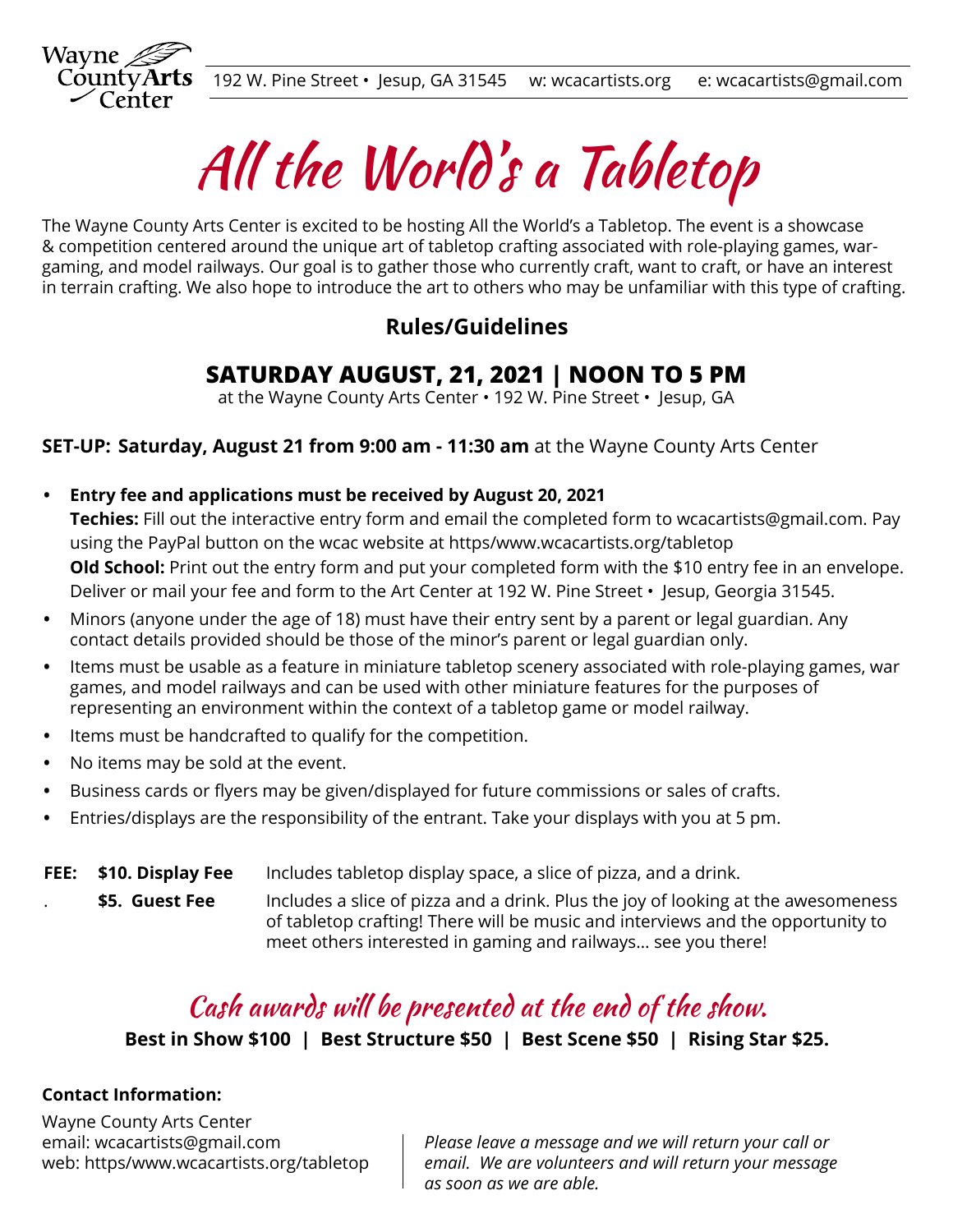

All the World's a Tabletop

The Wayne County Arts Center is excited to be hosting All the World's a Tabletop. The event is a showcase & competition centered around the unique art of tabletop crafting associated with role-playing games, wargaming, and model railways. Our goal is to gather those who currently craft, want to craft, or have an interest in terrain crafting. We also hope to introduce the art to others who may be unfamiliar with this type of crafting.

### **Rules/Guidelines**

# **SATURDAY AUGUST, 21, 2021 | NOON TO 5 PM**

at the Wayne County Arts Center • 192 W. Pine Street • Jesup, GA

**SET-UP: Saturday, August 21 from 9:00 am - 11:30 am** at the Wayne County Arts Center

- **Entry fee and applications must be received by August 20, 2021 Techies:** Fill out the interactive entry form and email the completed form to wcacartists@gmail.com. Pay using the PayPal button on the wcac website at https/www.wcacartists.org/tabletop **Old School:** Print out the entry form and put your completed form with the \$10 entry fee in an envelope. Deliver or mail your fee and form to the Art Center at 192 W. Pine Street • Jesup, Georgia 31545.
- **•** Minors (anyone under the age of 18) must have their entry sent by a parent or legal guardian. Any contact details provided should be those of the minor's parent or legal guardian only.
- **•** Items must be usable as a feature in miniature tabletop scenery associated with role-playing games, war games, and model railways and can be used with other miniature features for the purposes of representing an environment within the context of a tabletop game or model railway.
- **•** Items must be handcrafted to qualify for the competition.
- **•** No items may be sold at the event.
- Business cards or flyers may be given/displayed for future commissions or sales of crafts.
- **•** Entries/displays are the responsibility of the entrant. Take your displays with you at 5 pm.
- **FEE: \$10. Display Fee**
	- . **\$5. Guest Fee**

Includes tabletop display space, a slice of pizza, and a drink.

Includes a slice of pizza and a drink. Plus the joy of looking at the awesomeness of tabletop crafting! There will be music and interviews and the opportunity to meet others interested in gaming and railways… see you there!

# Cash awards will be presented at the end of the show.

**Best in Show \$100 | Best Structure \$50 | Best Scene \$50 | Rising Star \$25.**

#### **Contact Information:**

Wayne County Arts Center email: wcacartists@gmail.com web: https/www.wcacartists.org/tabletop

*Please leave a message and we will return your call or email. We are volunteers and will return your message as soon as we are able.*